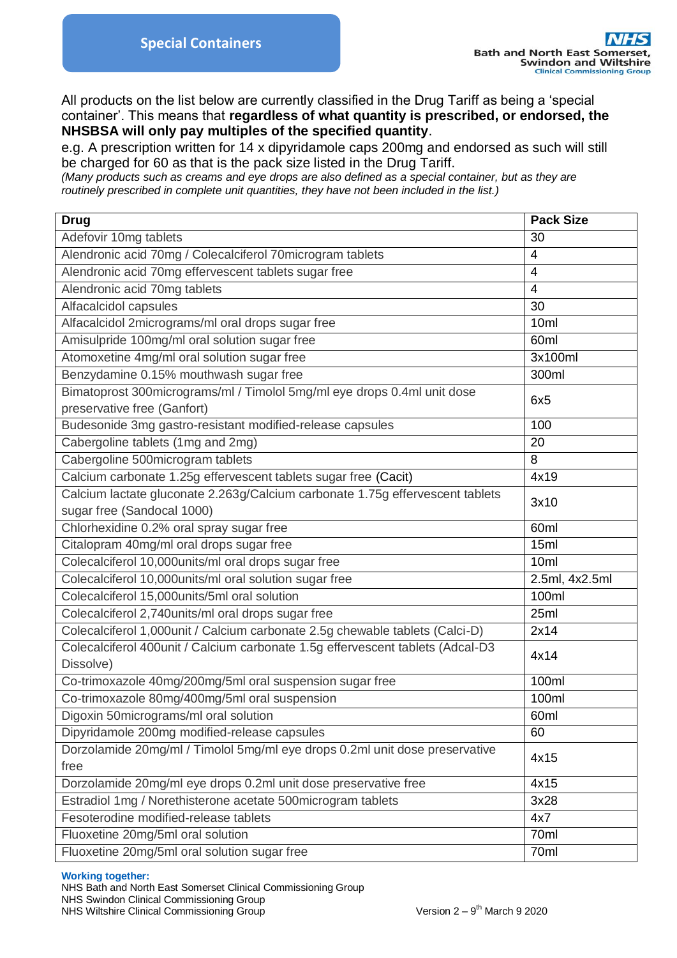All products on the list below are currently classified in the Drug Tariff as being a 'special container'. This means that **regardless of what quantity is prescribed, or endorsed, the NHSBSA will only pay multiples of the specified quantity**.

e.g. A prescription written for 14 x dipyridamole caps 200mg and endorsed as such will still be charged for 60 as that is the pack size listed in the Drug Tariff.

*(Many products such as creams and eye drops are also defined as a special container, but as they are routinely prescribed in complete unit quantities, they have not been included in the list.)*

| <b>Drug</b>                                                                    | <b>Pack Size</b> |
|--------------------------------------------------------------------------------|------------------|
| Adefovir 10mg tablets                                                          | 30               |
| Alendronic acid 70mg / Colecalciferol 70microgram tablets                      | 4                |
| Alendronic acid 70mg effervescent tablets sugar free                           | $\overline{4}$   |
| Alendronic acid 70mg tablets                                                   | $\overline{4}$   |
| Alfacalcidol capsules                                                          | 30               |
| Alfacalcidol 2micrograms/ml oral drops sugar free                              | 10ml             |
| Amisulpride 100mg/ml oral solution sugar free                                  | 60ml             |
| Atomoxetine 4mg/ml oral solution sugar free                                    | 3x100ml          |
| Benzydamine 0.15% mouthwash sugar free                                         | 300ml            |
| Bimatoprost 300micrograms/ml / Timolol 5mg/ml eye drops 0.4ml unit dose        |                  |
| preservative free (Ganfort)                                                    | 6x5              |
| Budesonide 3mg gastro-resistant modified-release capsules                      | 100              |
| Cabergoline tablets (1mg and 2mg)                                              | 20               |
| Cabergoline 500microgram tablets                                               | 8                |
| Calcium carbonate 1.25g effervescent tablets sugar free (Cacit)                | 4x19             |
| Calcium lactate gluconate 2.263g/Calcium carbonate 1.75g effervescent tablets  | 3x10             |
| sugar free (Sandocal 1000)                                                     |                  |
| Chlorhexidine 0.2% oral spray sugar free                                       | 60ml             |
| Citalopram 40mg/ml oral drops sugar free                                       | 15ml             |
| Colecalciferol 10,000units/ml oral drops sugar free                            | 10 <sub>ml</sub> |
| Colecalciferol 10,000units/ml oral solution sugar free                         | 2.5ml, 4x2.5ml   |
| Colecalciferol 15,000units/5ml oral solution                                   | 100ml            |
| Colecalciferol 2,740 units/ml oral drops sugar free                            | 25ml             |
| Colecalciferol 1,000unit / Calcium carbonate 2.5g chewable tablets (Calci-D)   | 2x14             |
| Colecalciferol 400unit / Calcium carbonate 1.5g effervescent tablets (Adcal-D3 | 4x14             |
| Dissolve)                                                                      |                  |
| Co-trimoxazole 40mg/200mg/5ml oral suspension sugar free                       | 100ml            |
| Co-trimoxazole 80mg/400mg/5ml oral suspension                                  | 100ml            |
| Digoxin 50micrograms/ml oral solution                                          | 60ml             |
| Dipyridamole 200mg modified-release capsules                                   | 60               |
| Dorzolamide 20mg/ml / Timolol 5mg/ml eye drops 0.2ml unit dose preservative    | 4x15             |
| free                                                                           |                  |
| Dorzolamide 20mg/ml eye drops 0.2ml unit dose preservative free                | 4x15             |
| Estradiol 1mg / Norethisterone acetate 500microgram tablets                    | 3x28             |
| Fesoterodine modified-release tablets                                          | 4x7              |
| Fluoxetine 20mg/5ml oral solution                                              | 70ml             |
| Fluoxetine 20mg/5ml oral solution sugar free                                   | 70ml             |

## **Working together:**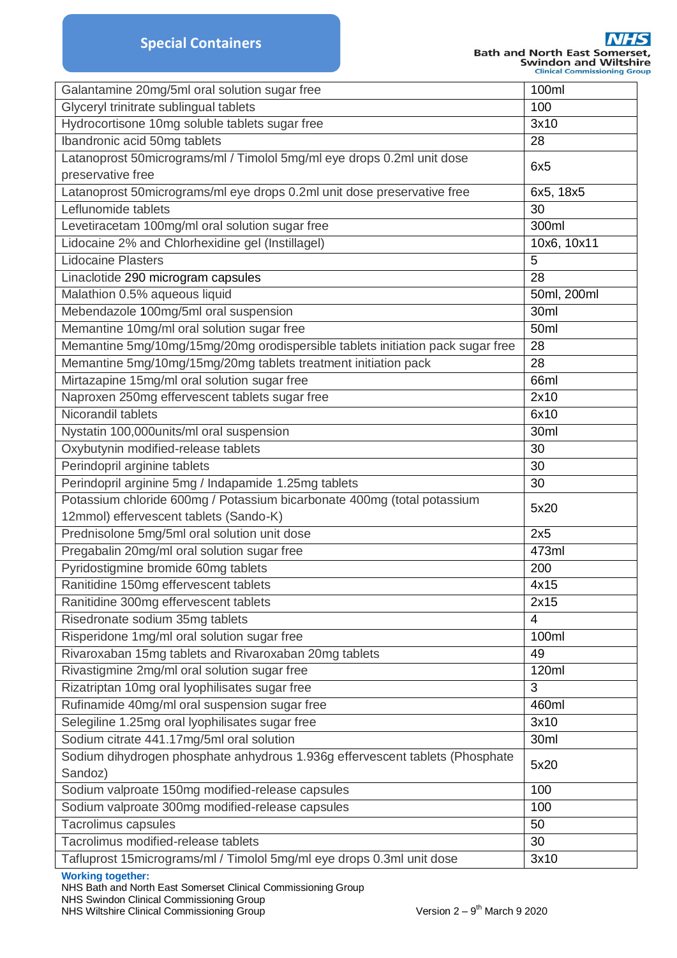| Galantamine 20mg/5ml oral solution sugar free                                  | 100ml           |
|--------------------------------------------------------------------------------|-----------------|
| Glyceryl trinitrate sublingual tablets                                         | 100             |
| Hydrocortisone 10mg soluble tablets sugar free                                 | 3x10            |
| <b>Ibandronic acid 50mg tablets</b>                                            | 28              |
| Latanoprost 50micrograms/ml / Timolol 5mg/ml eye drops 0.2ml unit dose         |                 |
| preservative free                                                              | 6x <sub>5</sub> |
| Latanoprost 50micrograms/ml eye drops 0.2ml unit dose preservative free        | 6x5, 18x5       |
| Leflunomide tablets                                                            | 30              |
| Levetiracetam 100mg/ml oral solution sugar free                                | 300ml           |
| Lidocaine 2% and Chlorhexidine gel (Instillagel)                               | 10x6, 10x11     |
| <b>Lidocaine Plasters</b>                                                      | 5               |
| Linaclotide 290 microgram capsules                                             | 28              |
| Malathion 0.5% aqueous liquid                                                  | 50ml, 200ml     |
| Mebendazole 100mg/5ml oral suspension                                          | 30ml            |
| Memantine 10mg/ml oral solution sugar free                                     | 50ml            |
| Memantine 5mg/10mg/15mg/20mg orodispersible tablets initiation pack sugar free | 28              |
| Memantine 5mg/10mg/15mg/20mg tablets treatment initiation pack                 | 28              |
| Mirtazapine 15mg/ml oral solution sugar free                                   | 66ml            |
| Naproxen 250mg effervescent tablets sugar free                                 | 2x10            |
| Nicorandil tablets                                                             | 6x10            |
| Nystatin 100,000units/ml oral suspension                                       | 30ml            |
| Oxybutynin modified-release tablets                                            | 30              |
| Perindopril arginine tablets                                                   | 30              |
| Perindopril arginine 5mg / Indapamide 1.25mg tablets                           | 30              |
| Potassium chloride 600mg / Potassium bicarbonate 400mg (total potassium        | 5x20            |
| 12mmol) effervescent tablets (Sando-K)                                         |                 |
| Prednisolone 5mg/5ml oral solution unit dose                                   | 2x5             |
| Pregabalin 20mg/ml oral solution sugar free                                    | 473ml           |
| Pyridostigmine bromide 60mg tablets                                            | 200             |
| Ranitidine 150mg effervescent tablets                                          | 4x15            |
| Ranitidine 300mg effervescent tablets                                          | 2x15            |
| Risedronate sodium 35mg tablets                                                | $\overline{4}$  |
| Risperidone 1mg/ml oral solution sugar free                                    | 100ml           |
| Rivaroxaban 15mg tablets and Rivaroxaban 20mg tablets                          | 49              |
| Rivastigmine 2mg/ml oral solution sugar free                                   | 120ml           |
| Rizatriptan 10mg oral lyophilisates sugar free                                 | 3               |
| Rufinamide 40mg/ml oral suspension sugar free                                  | 460ml           |
| Selegiline 1.25mg oral lyophilisates sugar free                                | 3x10            |
| Sodium citrate 441.17mg/5ml oral solution                                      | 30ml            |
| Sodium dihydrogen phosphate anhydrous 1.936g effervescent tablets (Phosphate   |                 |
| Sandoz)                                                                        | 5x20            |
| Sodium valproate 150mg modified-release capsules                               | 100             |
| Sodium valproate 300mg modified-release capsules                               | 100             |
| Tacrolimus capsules                                                            | 50              |
| Tacrolimus modified-release tablets                                            | 30              |
| Tafluprost 15 micrograms/ml / Timolol 5 mg/ml eye drops 0.3 ml unit dose       | 3x10            |

## **Working together:**

NHS Swindon Clinical Commissioning Group

NHS Bath and North East Somerset Clinical Commissioning Group